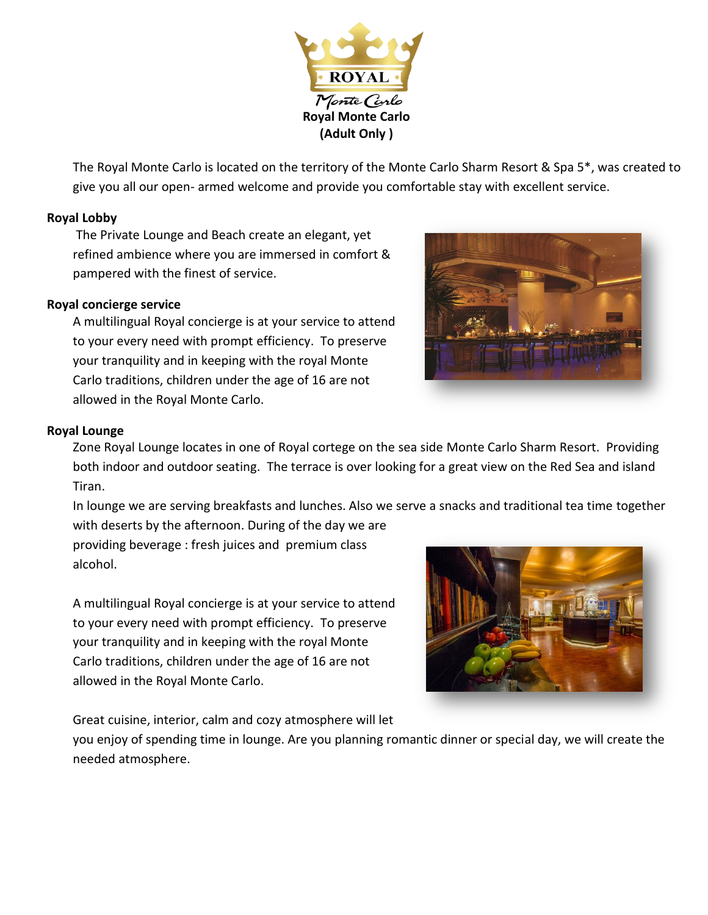

The Royal Monte Carlo is located on the territory of the Monte Carlo Sharm Resort & Spa 5\*, was created to give you all our open- armed welcome and provide you comfortable stay with excellent service.

## **Royal Lobby**

The Private Lounge and Beach create an elegant, yet refined ambience where you are immersed in comfort & pampered with the finest of service.

## **Royal concierge service**

A multilingual Royal concierge is at your service to attend to your every need with prompt efficiency. To preserve your tranquility and in keeping with the royal Monte Carlo traditions, children under the age of 16 are not allowed in the Royal Monte Carlo.



## **Royal Lounge**

Zone Royal Lounge locates in one of Royal cortege on the sea side Monte Carlo Sharm Resort. Providing both indoor and outdoor seating. The terrace is over looking for a great view on the Red Sea and island Tiran.

In lounge we are serving breakfasts and lunches. Also we serve a snacks and traditional tea time together with deserts by the afternoon. During of the day we are

providing beverage : fresh juices and premium class alcohol.

A multilingual Royal concierge is at your service to attend to your every need with prompt efficiency. To preserve your tranquility and in keeping with the royal Monte Carlo traditions, children under the age of 16 are not allowed in the Royal Monte Carlo.

Great cuisine, interior, calm and cozy atmosphere will let



you enjoy of spending time in lounge. Are you planning romantic dinner or special day, we will create the needed atmosphere.